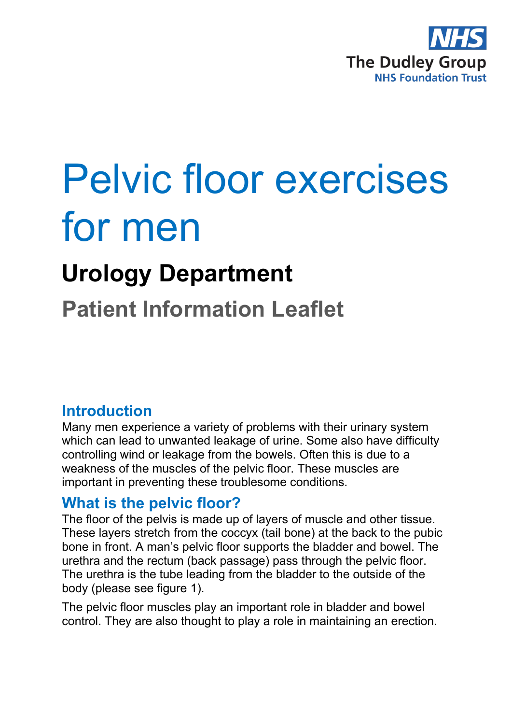

# Pelvic floor exercises for men

# **Urology Department**

**Patient Information Leaflet**

#### **Introduction**

Many men experience a variety of problems with their urinary system which can lead to unwanted leakage of urine. Some also have difficulty controlling wind or leakage from the bowels. Often this is due to a weakness of the muscles of the pelvic floor. These muscles are important in preventing these troublesome conditions.

#### **What is the pelvic floor?**

The floor of the pelvis is made up of layers of muscle and other tissue. These layers stretch from the coccyx (tail bone) at the back to the pubic bone in front. A man's pelvic floor supports the bladder and bowel. The urethra and the rectum (back passage) pass through the pelvic floor. The urethra is the tube leading from the bladder to the outside of the body (please see figure 1).

The pelvic floor muscles play an important role in bladder and bowel control. They are also thought to play a role in maintaining an erection.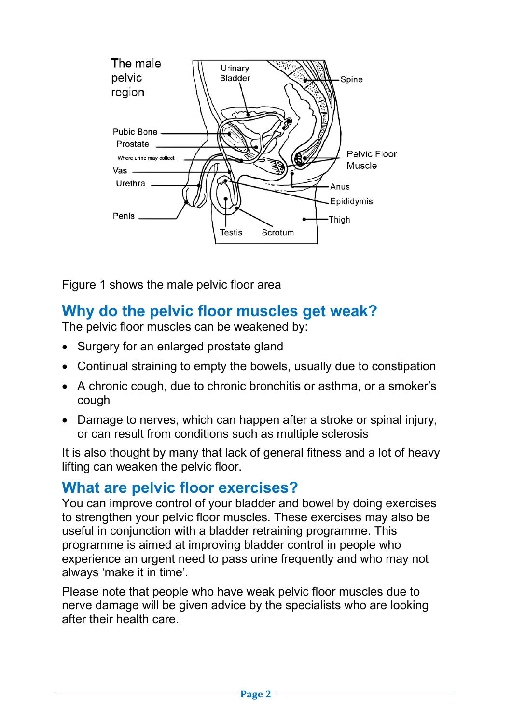

Figure 1 shows the male pelvic floor area

## **Why do the pelvic floor muscles get weak?**

The pelvic floor muscles can be weakened by:

- Surgery for an enlarged prostate gland
- Continual straining to empty the bowels, usually due to constipation
- A chronic cough, due to chronic bronchitis or asthma, or a smoker's cough
- Damage to nerves, which can happen after a stroke or spinal injury, or can result from conditions such as multiple sclerosis

It is also thought by many that lack of general fitness and a lot of heavy lifting can weaken the pelvic floor.

#### **What are pelvic floor exercises?**

You can improve control of your bladder and bowel by doing exercises to strengthen your pelvic floor muscles. These exercises may also be useful in conjunction with a bladder retraining programme. This programme is aimed at improving bladder control in people who experience an urgent need to pass urine frequently and who may not always 'make it in time'.

Please note that people who have weak pelvic floor muscles due to nerve damage will be given advice by the specialists who are looking after their health care.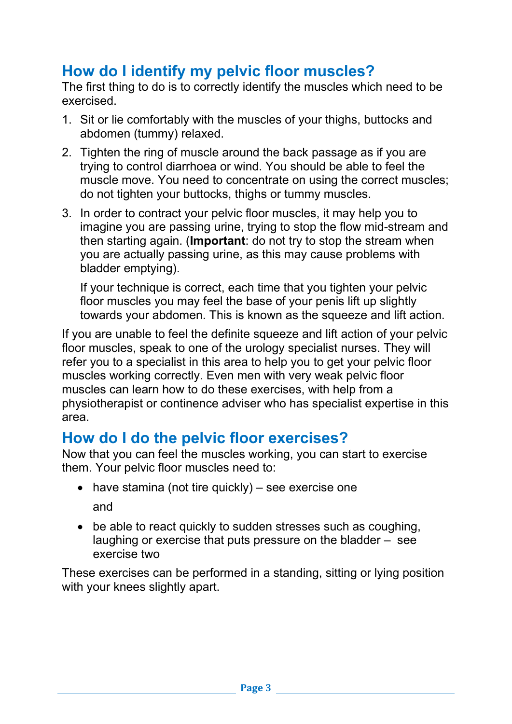# **How do I identify my pelvic floor muscles?**

The first thing to do is to correctly identify the muscles which need to be exercised.

- 1. Sit or lie comfortably with the muscles of your thighs, buttocks and abdomen (tummy) relaxed.
- 2. Tighten the ring of muscle around the back passage as if you are trying to control diarrhoea or wind. You should be able to feel the muscle move. You need to concentrate on using the correct muscles; do not tighten your buttocks, thighs or tummy muscles.
- 3. In order to contract your pelvic floor muscles, it may help you to imagine you are passing urine, trying to stop the flow mid-stream and then starting again. (**Important**: do not try to stop the stream when you are actually passing urine, as this may cause problems with bladder emptying).

If your technique is correct, each time that you tighten your pelvic floor muscles you may feel the base of your penis lift up slightly towards your abdomen. This is known as the squeeze and lift action.

If you are unable to feel the definite squeeze and lift action of your pelvic floor muscles, speak to one of the urology specialist nurses. They will refer you to a specialist in this area to help you to get your pelvic floor muscles working correctly. Even men with very weak pelvic floor muscles can learn how to do these exercises, with help from a physiotherapist or continence adviser who has specialist expertise in this area.

#### **How do I do the pelvic floor exercises?**

Now that you can feel the muscles working, you can start to exercise them. Your pelvic floor muscles need to:

- have stamina (not tire quickly) see exercise one and
- be able to react quickly to sudden stresses such as coughing, laughing or exercise that puts pressure on the bladder – see exercise two

These exercises can be performed in a standing, sitting or lying position with your knees slightly apart.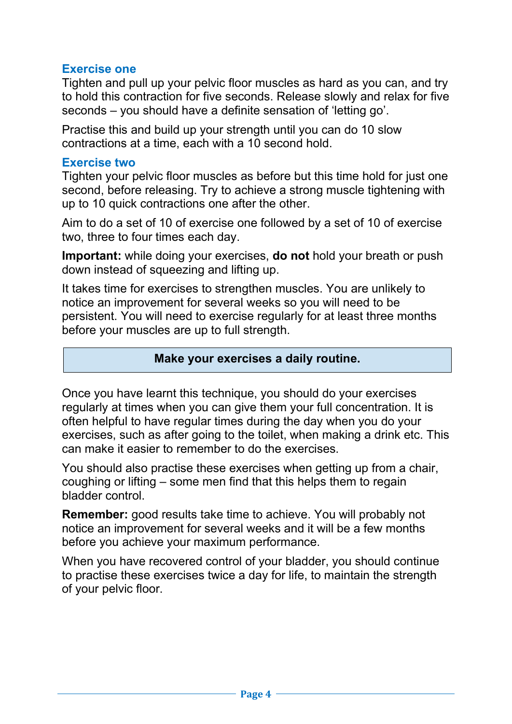#### **Exercise one**

Tighten and pull up your pelvic floor muscles as hard as you can, and try to hold this contraction for five seconds. Release slowly and relax for five seconds – you should have a definite sensation of 'letting go'.

Practise this and build up your strength until you can do 10 slow contractions at a time, each with a 10 second hold.

#### **Exercise two**

Tighten your pelvic floor muscles as before but this time hold for just one second, before releasing. Try to achieve a strong muscle tightening with up to 10 quick contractions one after the other.

Aim to do a set of 10 of exercise one followed by a set of 10 of exercise two, three to four times each day.

**Important:** while doing your exercises, **do not** hold your breath or push down instead of squeezing and lifting up.

It takes time for exercises to strengthen muscles. You are unlikely to notice an improvement for several weeks so you will need to be persistent. You will need to exercise regularly for at least three months before your muscles are up to full strength.

#### **Make your exercises a daily routine.**

Once you have learnt this technique, you should do your exercises regularly at times when you can give them your full concentration. It is often helpful to have regular times during the day when you do your exercises, such as after going to the toilet, when making a drink etc. This can make it easier to remember to do the exercises.

You should also practise these exercises when getting up from a chair, coughing or lifting – some men find that this helps them to regain bladder control.

**Remember:** good results take time to achieve. You will probably not notice an improvement for several weeks and it will be a few months before you achieve your maximum performance.

When you have recovered control of your bladder, you should continue to practise these exercises twice a day for life, to maintain the strength of your pelvic floor.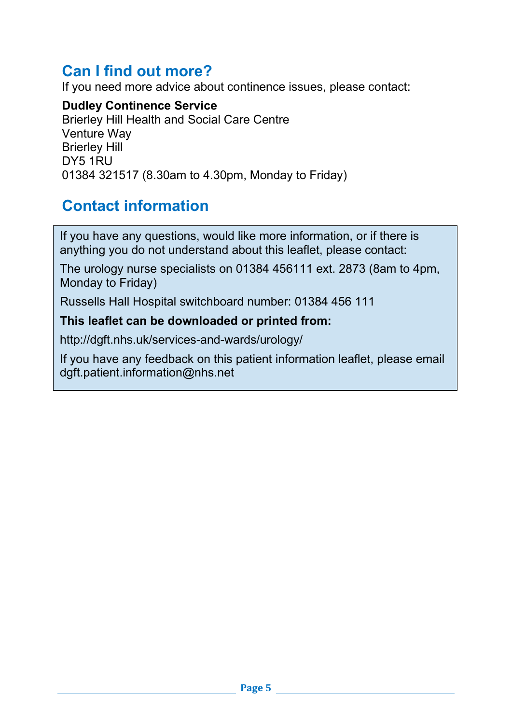# **Can I find out more?**

If you need more advice about continence issues, please contact:

**Dudley Continence Service** Brierley Hill Health and Social Care Centre Venture Way Brierley Hill DY5 1RU 01384 321517 (8.30am to 4.30pm, Monday to Friday)

# **Contact information**

If you have any questions, would like more information, or if there is anything you do not understand about this leaflet, please contact:

The urology nurse specialists on 01384 456111 ext. 2873 (8am to 4pm, Monday to Friday)

Russells Hall Hospital switchboard number: 01384 456 111

#### **This leaflet can be downloaded or printed from:**

http://dgft.nhs.uk/services-and-wards/urology/

If you have any feedback on this patient information leaflet, please email dgft.patient.information@nhs.net